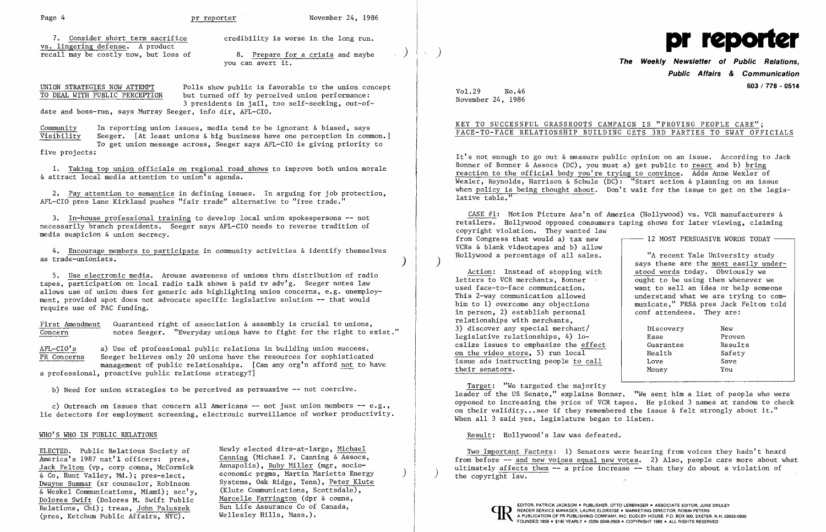Page 4 and Page 4 and Pr reporter November 24, 1986

vs. lingering defense. A product 7. Consider short term recall may be costly now, but loss of sacrifice credibility is worse in the long run. pr recall may be costly now, but loss of 8. Prepare for a crisis and maybe ) )

UNION STRATEGIES NOW ATTEMPT Polls show public is favorable to the union concept<br>TO DEAL WITH PUBLIC PERCEPTION but turned off by perceived union performance: but turned off by perceived union performance: 3 presidents in jail, too self-seeking, out-ofdate and boss-run, says Murray Seeger, info dir, AFL-CIO.

Community In reporting union issues, media tend to be ignorant & biased, says<br>Visibility Seeger. [At least unions & big business have one perception in comm Seeger.  $[At least unions & big business have one perception in common.]$ To get union message across, Seeger says AFL-CIO is giving priority to

five projects:

1. Taking top union officials on regional road shows to improve both union morale & attract local media attention to union's agenda.

5. Use electronic media. Arouse awareness of unions thru distribution of radio tapes, participation on local radio talk shows & paid tv adv'g. Seeger notes law allows use of union dues for generic ads highlighting union concerns, e.g. unemployment, provided spot does not advocate specific legislative solution -- that would require use of PAC funding.

First Amendment Guaranteed right of association & assembly is crucial to unions,<br>Concern motes Seeger. "Everyday unions have to fight for the right to e notes Seeger. "Everyday unions have to fight for the right to exist."

2. Pay attention to semantics in defining issues. In arguing for job protection, AFL-CIO pres Lane Kirkland pushes "fair trade" alternative to "free trade."

AFL-CIO's a) Use of professional public relations in building union success.<br>TR Concerns Seeger believes only 20 unions have the resources for sophisticated Seeger believes only 20 unions have the resources for sophisticated management of public relationships. [Can any org'n afford not to have

3. In-house professional training to develop local union spokespersons -- not necessarily branch presidents. Seeger says AFL-CIO needs to reverse tradition of media suspicion & union secrecy.

c) Outreach on issues that concern all Americans  $-$  not just union members  $-$  e.g., lie detectors for employment screening, electronic surveillance of worker productivity.

4. Encourage members to participate in community activities & identify themselves as trade-unionists. )

# you can avert it. **of Public Relations, The Weekly Newsletter Public Affairs & Communication 603 / 778 - 0514**

Target: "We targeted the majority leader of the US Senate," explains Bonner. "We sent him a list of people who were opposed to increasing the price of VCR tapes. He picked 3 names at random to check on their validity...see if they remembered the issue & felt strongly about it." When all 3 said yes, legislature began to listen.

a professional, proactive public relations strategy?]

b) Need for union strategies to be perceived as persuasive -- not coercive.

### WHO'S WHO IN PUBLIC RELATIONS

& Co, Hunt Valley, Md.); pres-elect, economic prgms, Martin Marietta Energy Dwayne Summar (sr counselor, Robinson Systems, Oak Ridge, Tenn), Peter Klute  $\&$  Weskel Communications, Miami); sec'y, Dolores Swift (Dolores M. Swift Public Marcelle Farrington (dpr & comns Relations, Chi); treas, John Paluszek Sun Life Assurance Co of Canada, Relations, Chi); treas, John Paluszek Sun Life Assurance Co of Canada,<br>
(pres, Ketchum Public Affairs, NYC), Wellesley Hills, Mass.).

Systems, Oak Ridge, Tenn), Peter Klute (Klute Communications, Scottsdale), Marcelle Farrington (dpr & comns,

Vol.29 No.46 November 24, 1986

## KEY TO SUCCESSFUL GRASSROOTS CAMPAIGN IS "PROVING PEOPLE CARE"; FACE-TO-FACE RELATIONSHIP BUILDING GETS 3RD PARTIES TO SWAY OFFICIALS

It's not enough to go out & measure public opinion on an issue. According to Jack Bonner of Bonner & Assocs (DC), you must a) get public to react and b) bring reaction to the official body you're trying to convince. Adds Anne Wexler of Wexler, Reynolds, Harrison & Schule (DC): "Start action & planning on an issue when policy is being thought about. Don't wait for the issue to get on the legislative table."

CASE #1: Motion Picture Ass'n of America (Hollywood) vs. VCR manufacturers & retailers. Hollywood opposed consumers taping shows for later viewing, claiming<br>copyright violation. They wanted law<br>from Congress that would a) tax new [12 MOST PERSUASIVE WORDS TODAY -copyright violation. They wanted law from Congress that would a) tax new VCRs & blank videotapes and b) allow Hollywood a percentage of all sales. ) "A recent Yale University study

Action: Instead of stopping with letters to VCR merchants, Bonner used face-to-face communication. This 2-way communication allowed him to 1) overcome any objections in person, 2) establish personal relationships with merchants, 3) discover any special merchant/ legislative relationships, 4) localize issues to emphasize the effect on the video store, 5) run local issue ads instructing people to call their senators.

says these are the most easily understood words today. Obviously we ought to be using them whenever we want to sell an idea or help someone understand what we are trying to communicate," PRSA pres Jack Felton told conf attendees. They are:

| Discovery | New     |  |
|-----------|---------|--|
| Ease      | Proven  |  |
| Guarantee | Results |  |
| Health    | Safety  |  |
| Love      | Save    |  |
| Money     | You     |  |
|           |         |  |

Result: Hollywood's law was defeated.

ELECTED. Public Relations Society of <sup>Newly</sup> elected dirs-at-large, <u>Michael Two Important Factors</u>: 1) Senators were hearing from voices they hadn't heard Two Important Factors: 1) Senators were hearing from voices they h America's 1987 nat'l officers: pres, Canning (Michael F. Canning & Assocs, Theory of From before -- <u>and new voices equal new votes</u>. 2) Also, people care more about what increase in the section of the same about what incr Jack Felton (vp, corp comns, McCormick Annapolis), <u>Ruby Miller</u> (mgr, socio-<br>
& Co, Hunt Valley, Md.); pres-elect, economic prgms, Martin Marietta Energy (b) the copyright law.